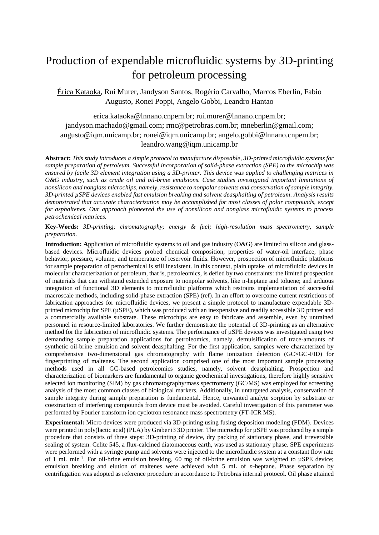## Production of expendable microfluidic systems by 3D-printing for petroleum processing

Érica Kataoka, Rui Murer, Jandyson Santos, Rogério Carvalho, Marcos Eberlin, Fabio Augusto, Ronei Poppi, Angelo Gobbi, Leandro Hantao

[erica.kataoka@lnnano.cnpem.br;](mailto:erica.kataoka@lnnano.cnpem.br) [rui.murer@lnnano.cnpem.br;](mailto:rui.murer@lnnano.cnpem.br) [jandyson.machado@gmail.com;](mailto:jandyson.machado@gmail.com) rmc@petrobras.com.br; [mneberlin@gmail.com;](mailto:mneberlin@gmail.com) [augusto@iqm.unicamp.br;](mailto:augusto@iqm.unicamp.br) [ronei@iqm.unicamp.br;](mailto:ronei@iqm.unicamp.br) [angelo.gobbi@lnnano.cnpem.br;](mailto:angelo.gobbi@lnnano.cnpem.br) leandro.wang@iqm.unicamp.br

**Abstract:** *This study introduces a simple protocol to manufacture disposable, 3D-printed microfluidic systems for sample preparation of petroleum. Successful incorporation of solid-phase extraction (SPE) to the microchip was ensured by facile 3D element integration using a 3D-printer. This device was applied to challenging matrices in O&G industry, such as crude oil and oil-brine emulsions. Case studies investigated important limitations of nonsilicon and nonglass microchips, namely, resistance to nonpolar solvents and conservation of sample integrity. 3D-printed µSPE devices enabled fast emulsion breaking and solvent deasphalting of petroleum. Analysis results demonstrated that accurate characterization may be accomplished for most classes of polar compounds, except for asphaltenes. Our approach pioneered the use of nonsilicon and nonglass microfluidic systems to process petrochemical matrices.*

**Key-Words:** *3D-printing; chromatography; energy & fuel; high-resolution mass spectrometry, sample preparation.*

**Introduction: A**pplication of microfluidic systems to oil and gas industry (O&G) are limited to silicon and glassbased devices. Microfluidic devices probed chemical composition, properties of water-oil interface, phase behavior, pressure, volume, and temperature of reservoir fluids. However, prospection of microfluidic platforms for sample preparation of petrochemical is still inexistent. In this context, plain uptake of microfluidic devices in molecular characterization of petroleum, that is, petroleomics, is defied by two constraints: the limited prospection of materials that can withstand extended exposure to nonpolar solvents, like n-heptane and toluene; and arduous integration of functional 3D elements to microfluidic platforms which restrains implementation of successful macroscale methods, including solid-phase extraction (SPE) (ref). In an effort to overcome current restrictions of fabrication approaches for microfluidic devices, we present a simple protocol to manufacture expendable 3Dprinted microchip for SPE (µSPE), which was produced with an inexpensive and readily accessible 3D printer and a commercially available substrate. These microchips are easy to fabricate and assemble, even by untrained personnel in resource-limited laboratories. We further demonstrate the potential of 3D-printing as an alternative method for the fabrication of microfluidic systems. The performance of µSPE devices was investigated using two demanding sample preparation applications for petroleomics, namely, demulsification of trace-amounts of synthetic oil-brine emulsion and solvent deasphalting. For the first application, samples were characterized by comprehensive two-dimensional gas chromatography with flame ionization detection (GC×GC-FID) for fingerprinting of maltenes. The second application comprised one of the most important sample processing methods used in all GC-based petroleomics studies, namely, solvent deasphalting. Prospection and characterization of biomarkers are fundamental to organic geochemical investigations, therefore highly sensitive selected ion monitoring (SIM) by gas chromatography/mass spectrometry (GC/MS) was employed for screening analysis of the most common classes of biological markers. Additionally, in untargeted analysis, conservation of sample integrity during sample preparation is fundamental. Hence, unwanted analyte sorption by substrate or coextraction of interfering compounds from device must be avoided. Careful investigation of this parameter was performed by Fourier transform ion cyclotron resonance mass spectrometry (FT-ICR MS).

**Experimental:** Micro devices were produced via 3D-printing using fusing deposition modeling (FDM). Devices were printed in poly(lactic acid) (PLA) by Graber i3 3D printer. The microchip for µSPE was produced by a simple procedure that consists of three steps: 3D-printing of device, dry packing of stationary phase, and irreversible sealing of system. Celite 545, a flux-calcined diatomaceous earth, was used as stationary phase. SPE experiments were performed with a syringe pump and solvents were injected to the microfluidic system at a constant flow rate of 1 mL min<sup>-1</sup>. For oil-brine emulsion breaking, 60 mg of oil-brine emulsion was weighted to  $\mu$ SPE device; emulsion breaking and elution of maltenes were achieved with 5 mL of *n*-heptane. Phase separation by centrifugation was adopted as reference procedure in accordance to Petrobras internal protocol. Oil phase attained